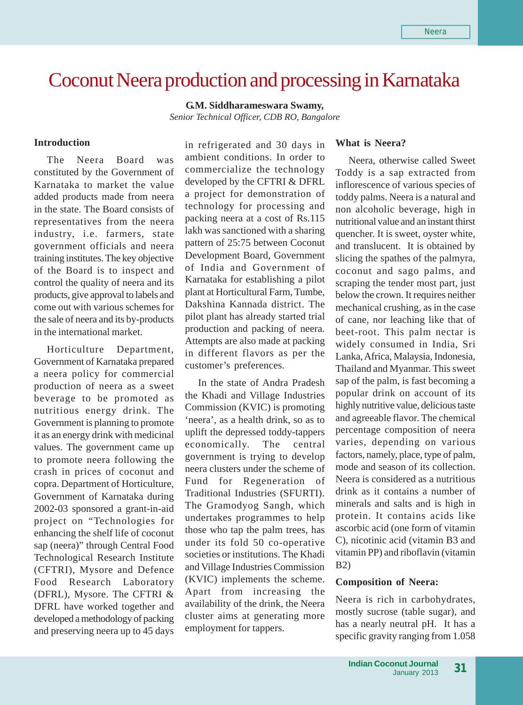# Coconut Neera production and processing in Karnataka

**G.M. Siddharameswara Swamy,** *Senior Technical Officer, CDB RO, Bangalore*

#### **Introduction**

The Neera Board was constituted by the Government of Karnataka to market the value added products made from neera in the state. The Board consists of representatives from the neera industry, i.e. farmers, state government officials and neera training institutes. The key objective of the Board is to inspect and control the quality of neera and its products, give approval to labels and come out with various schemes for the sale of neera and its by-products in the international market.

Horticulture Department, Government of Karnataka prepared a neera policy for commercial production of neera as a sweet beverage to be promoted as nutritious energy drink. The Government is planning to promote it as an energy drink with medicinal values. The government came up to promote neera following the crash in prices of coconut and copra. Department of Horticulture, Government of Karnataka during 2002-03 sponsored a grant-in-aid project on "Technologies for enhancing the shelf life of coconut sap (neera)" through Central Food Technological Research Institute (CFTRI), Mysore and Defence Food Research Laboratory (DFRL), Mysore. The CFTRI & DFRL have worked together and developed a methodology of packing and preserving neera up to 45 days in refrigerated and 30 days in ambient conditions. In order to commercialize the technology developed by the CFTRI & DFRL a project for demonstration of technology for processing and packing neera at a cost of Rs.115 lakh was sanctioned with a sharing pattern of 25:75 between Coconut Development Board, Government of India and Government of Karnataka for establishing a pilot plant at Horticultural Farm, Tumbe, Dakshina Kannada district. The pilot plant has already started trial production and packing of neera. Attempts are also made at packing in different flavors as per the customer's preferences.

In the state of Andra Pradesh the Khadi and Village Industries Commission (KVIC) is promoting 'neera', as a health drink, so as to uplift the depressed toddy-tappers economically. The central government is trying to develop neera clusters under the scheme of Fund for Regeneration of Traditional Industries (SFURTI). The Gramodyog Sangh, which undertakes programmes to help those who tap the palm trees, has under its fold 50 co-operative societies or institutions. The Khadi and Village Industries Commission (KVIC) implements the scheme. Apart from increasing the availability of the drink, the Neera cluster aims at generating more employment for tappers.

## **What is Neera?**

Neera, otherwise called Sweet Toddy is a sap extracted from inflorescence of various species of toddy palms. Neera is a natural and non alcoholic beverage, high in nutritional value and an instant thirst quencher. It is sweet, oyster white, and translucent. It is obtained by slicing the spathes of the palmyra, coconut and sago palms, and scraping the tender most part, just below the crown. It requires neither mechanical crushing, as in the case of cane, nor leaching like that of beet-root. This palm nectar is widely consumed in India, Sri Lanka, Africa, Malaysia, Indonesia, Thailand and Myanmar. This sweet sap of the palm, is fast becoming a popular drink on account of its highly nutritive value, delicious taste and agreeable flavor. The chemical percentage composition of neera varies, depending on various factors, namely, place, type of palm, mode and season of its collection. Neera is considered as a nutritious drink as it contains a number of minerals and salts and is high in protein. It contains acids like ascorbic acid (one form of vitamin C), nicotinic acid (vitamin B3 and vitamin PP) and riboflavin (vitamin B2)

### **Composition of Neera:**

Neera is rich in carbohydrates, mostly sucrose (table sugar), and has a nearly neutral pH. It has a specific gravity ranging from 1.058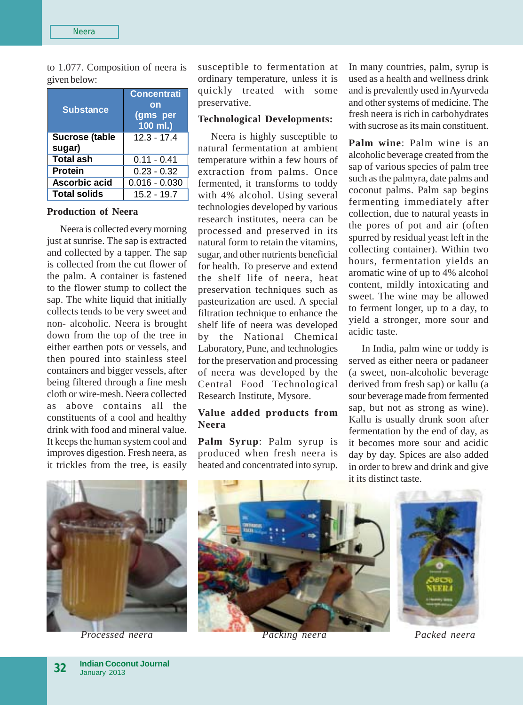to 1.077. Composition of neera is given below:

| <b>Substance</b>                | <b>Concentrati</b><br>on<br>(gms per<br>$100$ ml.) |
|---------------------------------|----------------------------------------------------|
| <b>Sucrose (table</b><br>sugar) | 12.3 - 17.4                                        |
| <b>Total ash</b>                | $0.11 - 0.41$                                      |
| <b>Protein</b>                  | $0.23 - 0.32$                                      |
| Ascorbic acid                   | $0.016 - 0.030$                                    |
| <b>Total solids</b>             | 15.2 - 19.7                                        |

### **Production of Neera**

Neera is collected every morning just at sunrise. The sap is extracted and collected by a tapper. The sap is collected from the cut flower of the palm. A container is fastened to the flower stump to collect the sap. The white liquid that initially collects tends to be very sweet and non- alcoholic. Neera is brought down from the top of the tree in either earthen pots or vessels, and then poured into stainless steel containers and bigger vessels, after being filtered through a fine mesh cloth or wire-mesh. Neera collected as above contains all the constituents of a cool and healthy drink with food and mineral value. It keeps the human system cool and improves digestion. Fresh neera, as it trickles from the tree, is easily susceptible to fermentation at ordinary temperature, unless it is quickly treated with some preservative.

## **Technological Developments:**

Neera is highly susceptible to natural fermentation at ambient temperature within a few hours of extraction from palms. Once fermented, it transforms to toddy with 4% alcohol. Using several technologies developed by various research institutes, neera can be processed and preserved in its natural form to retain the vitamins, sugar, and other nutrients beneficial for health. To preserve and extend the shelf life of neera, heat preservation techniques such as pasteurization are used. A special filtration technique to enhance the shelf life of neera was developed by the National Chemical Laboratory, Pune, and technologies for the preservation and processing of neera was developed by the Central Food Technological Research Institute, Mysore.

## **Value added products from Neera**

**Palm Syrup**: Palm syrup is produced when fresh neera is heated and concentrated into syrup.

In many countries, palm, syrup is used as a health and wellness drink and is prevalently used in Ayurveda and other systems of medicine. The fresh neera is rich in carbohydrates with sucrose as its main constituent.

**Palm wine**: Palm wine is an alcoholic beverage created from the sap of various species of palm tree such as the palmyra, date palms and coconut palms. Palm sap begins fermenting immediately after collection, due to natural yeasts in the pores of pot and air (often spurred by residual yeast left in the collecting container). Within two hours, fermentation yields an aromatic wine of up to 4% alcohol content, mildly intoxicating and sweet. The wine may be allowed to ferment longer, up to a day, to yield a stronger, more sour and acidic taste.

In India, palm wine or toddy is served as either neera or padaneer (a sweet, non-alcoholic beverage derived from fresh sap) or kallu (a sour beverage made from fermented sap, but not as strong as wine). Kallu is usually drunk soon after fermentation by the end of day, as it becomes more sour and acidic day by day. Spices are also added in order to brew and drink and give it its distinct taste.



*Processed neera Packing neera Packed neera*